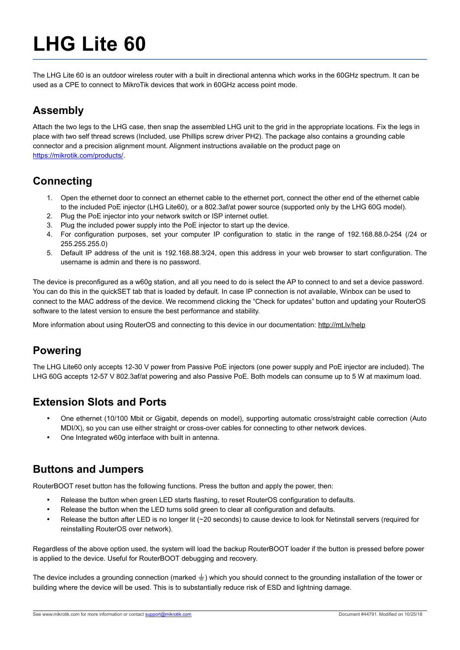# **LHG Lite 60**

The LHG Lite 60 is an outdoor wireless router with a built in directional antenna which works in the 60GHz spectrum. It can be used as a CPE to connect to MikroTik devices that work in 60GHz access point mode.

# **Assembly**

Attach the two legs to the LHG case, then snap the assembled LHG unit to the grid in the appropriate locations. Fix the legs in place with two self thread screws (Included, use Phillips screw driver PH2). The package also contains a grounding cable connector and a precision alignment mount. Alignment instructions available on the product page on [https://mikrotik.com/products/.](https://mikrotik.com/products/)

# **Connecting**

- 1. Open the ethernet door to connect an ethernet cable to the ethernet port, connect the other end of the ethernet cable to the included PoE injector (LHG Lite60), or a 802.3af/at power source (supported only by the LHG 60G model).
- 2. Plug the PoE injector into your network switch or ISP internet outlet.
- 3. Plug the included power supply into the PoE injector to start up the device.
- 4. For configuration purposes, set your computer IP configuration to static in the range of 192.168.88.0-254 (/24 or 255.255.255.0)
- 5. Default IP address of the unit is 192.168.88.3/24, open this address in your web browser to start configuration. The username is admin and there is no password.

The device is preconfigured as a w60g station, and all you need to do is select the AP to connect to and set a device password. You can do this in the quickSET tab that is loaded by default. In case IP connection is not available, Winbox can be used to connect to the MAC address of the device. We recommend clicking the "Check for updates" button and updating your RouterOS software to the latest version to ensure the best performance and stability.

More information about using RouterOS and connecting to this device in our documentation: http://mt.lv/help

# **Powering**

The LHG Lite60 only accepts 12-30 V power from Passive PoE injectors (one power supply and PoE injector are included). The LHG 60G accepts 12-57 V 802.3af/at powering and also Passive PoE. Both models can consume up to 5 W at maximum load.

# **Extension Slots and Ports**

- One ethernet (10/100 Mbit or Gigabit, depends on model), supporting automatic cross/straight cable correction (Auto MDI/X), so you can use either straight or cross-over cables for connecting to other network devices.
- One Integrated w60g interface with built in antenna.

# **Buttons and Jumpers**

RouterBOOT reset button has the following functions. Press the button and apply the power, then:

- Release the button when green LED starts flashing, to reset RouterOS configuration to defaults.
- Release the button when the LED turns solid green to clear all configuration and defaults.
- Release the button after LED is no longer lit (~20 seconds) to cause device to look for Netinstall servers (required for reinstalling RouterOS over network).

Regardless of the above option used, the system will load the backup RouterBOOT loader if the button is pressed before power is applied to the device. Useful for RouterBOOT debugging and recovery.

The device includes a grounding connection (marked  $\pm$ ) which you should connect to the grounding installation of the tower or building where the device will be used. This is to substantially reduce risk of ESD and lightning damage.